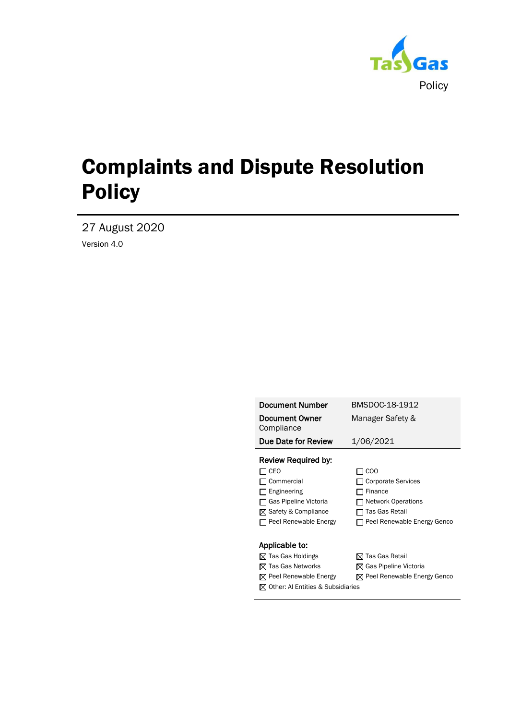

27 August 2020

Version 4.0

| <b>Document Number</b>                        | BMSDOC-18-1912                          |
|-----------------------------------------------|-----------------------------------------|
| <b>Document Owner</b><br>Compliance           | Manager Safety &                        |
| Due Date for Review                           | 1/06/2021                               |
| Review Required by:                           |                                         |
| CEO                                           | <sub>COO</sub>                          |
| Commercial                                    | <b>Corporate Services</b>               |
| Engineering                                   | Finance                                 |
| Gas Pipeline Victoria                         | <b>Network Operations</b>               |
| ⊠ Safety & Compliance                         | Tas Gas Retail                          |
| Peel Renewable Energy                         | Peel Renewable Energy Genco             |
|                                               |                                         |
| Applicable to:                                |                                         |
| $\boxtimes$ Tas Gas Holdings                  | ⊠ Tas Gas Retail                        |
| $\boxtimes$ Tas Gas Networks                  | $\boxtimes$ Gas Pipeline Victoria       |
| $\boxtimes$ Peel Renewable Energy             | $\boxtimes$ Peel Renewable Energy Genco |
| $\boxtimes$ Other: Al Entities & Subsidiaries |                                         |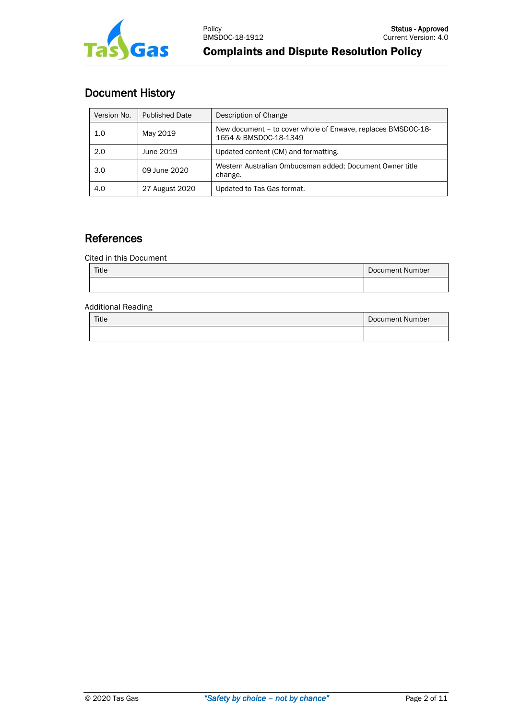

# Document History

| Version No. | <b>Published Date</b> | Description of Change                                                                 |
|-------------|-----------------------|---------------------------------------------------------------------------------------|
| 1.0         | May 2019              | New document - to cover whole of Enwave, replaces BMSDOC-18-<br>1654 & BMSDOC-18-1349 |
| 2.0         | June 2019             | Updated content (CM) and formatting.                                                  |
| 3.0         | 09 June 2020          | Western Australian Ombudsman added; Document Owner title<br>change.                   |
| 4.0         | 27 August 2020        | Updated to Tas Gas format.                                                            |

# **References**

Cited in this Document

| Title | Document Number |
|-------|-----------------|
|       |                 |

#### Additional Reading

| Title | Document Number |
|-------|-----------------|
|       |                 |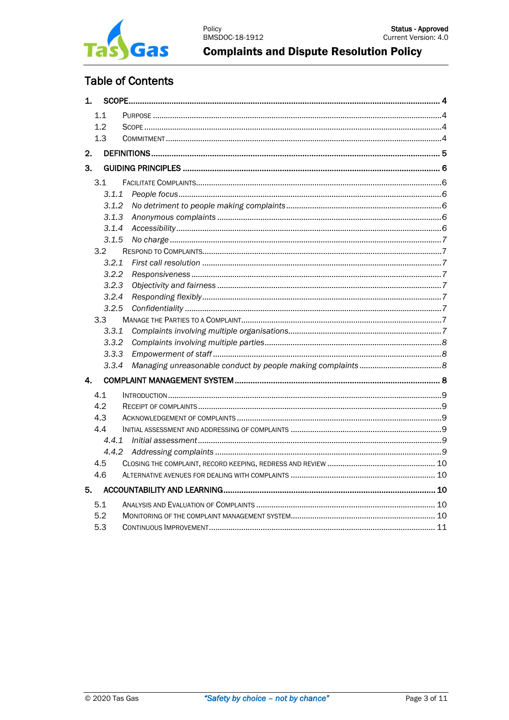

# **Table of Contents**

| 1.           |       |  |
|--------------|-------|--|
|              | 1.1   |  |
|              | 1.2   |  |
|              | 1.3   |  |
| 2.           |       |  |
| 3.           |       |  |
|              | 3.1   |  |
|              | 3.1.1 |  |
|              | 3.1.2 |  |
|              | 3.1.3 |  |
|              | 3.1.4 |  |
|              | 3.1.5 |  |
|              | 3.2   |  |
|              | 3.2.1 |  |
|              | 3.2.2 |  |
|              | 3.2.3 |  |
|              | 3.2.4 |  |
|              | 3.2.5 |  |
|              | 3.3   |  |
|              | 3.3.1 |  |
|              | 3.3.2 |  |
|              | 3.3.3 |  |
|              | 3.3.4 |  |
| $\mathbf{4}$ |       |  |
|              | 4.1   |  |
|              | 4.2   |  |
|              | 4.3   |  |
|              | 4.4   |  |
|              | 4.4.1 |  |
|              | 4.4.2 |  |
|              | 4.5   |  |
|              | 4.6   |  |
| 5.           |       |  |
|              | 5.1   |  |
|              | 5.2   |  |
|              | 5.3   |  |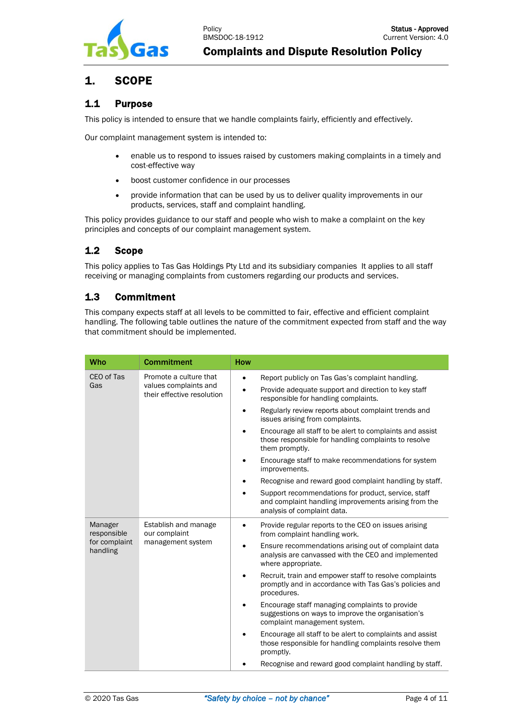

# <span id="page-3-0"></span>1. SCOPE

# <span id="page-3-1"></span>1.1 Purpose

This policy is intended to ensure that we handle complaints fairly, efficiently and effectively.

Our complaint management system is intended to:

- enable us to respond to issues raised by customers making complaints in a timely and cost-effective way
- boost customer confidence in our processes
- provide information that can be used by us to deliver quality improvements in our products, services, staff and complaint handling.

This policy provides guidance to our staff and people who wish to make a complaint on the key principles and concepts of our complaint management system.

# <span id="page-3-2"></span>1.2 Scope

This policy applies to Tas Gas Holdings Pty Ltd and its subsidiary companies It applies to all staff receiving or managing complaints from customers regarding our products and services.

# <span id="page-3-3"></span>1.3 Commitment

This company expects staff at all levels to be committed to fair, effective and efficient complaint handling. The following table outlines the nature of the commitment expected from staff and the way that commitment should be implemented.

| <b>Who</b>                                          | <b>Commitment</b>                                                             | <b>How</b>                                                                                                                                 |                                                                                                                                     |
|-----------------------------------------------------|-------------------------------------------------------------------------------|--------------------------------------------------------------------------------------------------------------------------------------------|-------------------------------------------------------------------------------------------------------------------------------------|
| CEO of Tas<br>Gas                                   | Promote a culture that<br>values complaints and<br>their effective resolution | $\bullet$                                                                                                                                  | Report publicly on Tas Gas's complaint handling.                                                                                    |
|                                                     |                                                                               | $\bullet$                                                                                                                                  | Provide adequate support and direction to key staff<br>responsible for handling complaints.                                         |
|                                                     |                                                                               |                                                                                                                                            | Regularly review reports about complaint trends and<br>issues arising from complaints.                                              |
|                                                     |                                                                               |                                                                                                                                            | Encourage all staff to be alert to complaints and assist<br>those responsible for handling complaints to resolve<br>them promptly.  |
|                                                     |                                                                               |                                                                                                                                            | Encourage staff to make recommendations for system<br>improvements.                                                                 |
|                                                     |                                                                               |                                                                                                                                            | Recognise and reward good complaint handling by staff.                                                                              |
|                                                     |                                                                               | Support recommendations for product, service, staff<br>and complaint handling improvements arising from the<br>analysis of complaint data. |                                                                                                                                     |
| Manager<br>responsible<br>for complaint<br>handling | Establish and manage<br>our complaint<br>management system                    |                                                                                                                                            | Provide regular reports to the CEO on issues arising<br>from complaint handling work.                                               |
|                                                     |                                                                               |                                                                                                                                            | Ensure recommendations arising out of complaint data<br>analysis are canvassed with the CEO and implemented<br>where appropriate.   |
|                                                     |                                                                               |                                                                                                                                            | Recruit, train and empower staff to resolve complaints<br>promptly and in accordance with Tas Gas's policies and<br>procedures.     |
|                                                     |                                                                               |                                                                                                                                            | Encourage staff managing complaints to provide<br>suggestions on ways to improve the organisation's<br>complaint management system. |
|                                                     |                                                                               |                                                                                                                                            | Encourage all staff to be alert to complaints and assist<br>those responsible for handling complaints resolve them<br>promptly.     |
|                                                     |                                                                               |                                                                                                                                            | Recognise and reward good complaint handling by staff.                                                                              |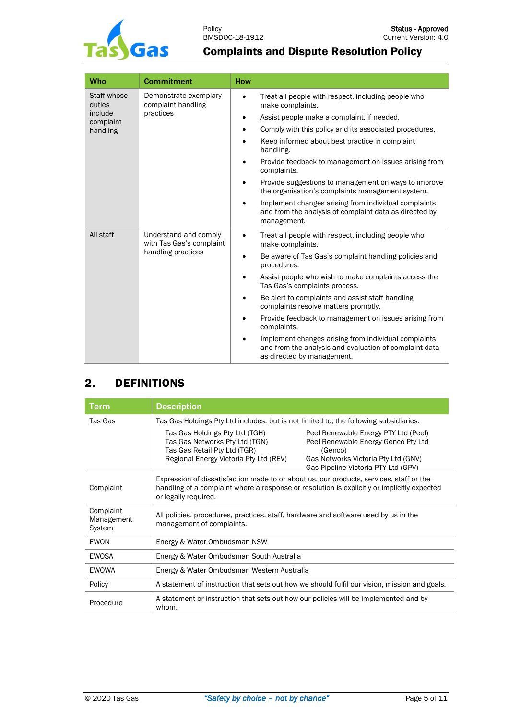

| Who                                           | <b>Commitment</b>                                                       | <b>How</b> |                                                                                                                                              |
|-----------------------------------------------|-------------------------------------------------------------------------|------------|----------------------------------------------------------------------------------------------------------------------------------------------|
| Staff whose<br>duties<br>include<br>complaint | Demonstrate exemplary<br>complaint handling<br>practices                | $\bullet$  | Treat all people with respect, including people who<br>make complaints.                                                                      |
|                                               |                                                                         | $\bullet$  | Assist people make a complaint, if needed.                                                                                                   |
| handling                                      |                                                                         | ٠          | Comply with this policy and its associated procedures.                                                                                       |
|                                               |                                                                         |            | Keep informed about best practice in complaint<br>handling.                                                                                  |
|                                               |                                                                         |            | Provide feedback to management on issues arising from<br>complaints.                                                                         |
|                                               |                                                                         |            | Provide suggestions to management on ways to improve<br>the organisation's complaints management system.                                     |
|                                               |                                                                         |            | Implement changes arising from individual complaints<br>and from the analysis of complaint data as directed by<br>management.                |
| All staff                                     | Understand and comply<br>with Tas Gas's complaint<br>handling practices | $\bullet$  | Treat all people with respect, including people who<br>make complaints.                                                                      |
|                                               |                                                                         | $\bullet$  | Be aware of Tas Gas's complaint handling policies and<br>procedures.                                                                         |
|                                               |                                                                         |            | Assist people who wish to make complaints access the<br>Tas Gas's complaints process.                                                        |
|                                               |                                                                         |            | Be alert to complaints and assist staff handling<br>complaints resolve matters promptly.                                                     |
|                                               |                                                                         |            | Provide feedback to management on issues arising from<br>complaints.                                                                         |
|                                               |                                                                         |            | Implement changes arising from individual complaints<br>and from the analysis and evaluation of complaint data<br>as directed by management. |

# <span id="page-4-0"></span>2. DEFINITIONS

| <b>Term</b>                       | <b>Description</b>                                                                                                                                                                                                                                                                                                                                                                                          |  |  |  |
|-----------------------------------|-------------------------------------------------------------------------------------------------------------------------------------------------------------------------------------------------------------------------------------------------------------------------------------------------------------------------------------------------------------------------------------------------------------|--|--|--|
| Tas Gas                           | Tas Gas Holdings Pty Ltd includes, but is not limited to, the following subsidiaries:<br>Tas Gas Holdings Pty Ltd (TGH)<br>Peel Renewable Energy PTY Ltd (Peel)<br>Tas Gas Networks Pty Ltd (TGN)<br>Peel Renewable Energy Genco Pty Ltd<br>Tas Gas Retail Pty Ltd (TGR)<br>(Genco)<br>Regional Energy Victoria Pty Ltd (REV)<br>Gas Networks Victoria Pty Ltd (GNV)<br>Gas Pipeline Victoria PTY Ltd (GPV) |  |  |  |
| Complaint                         | Expression of dissatisfaction made to or about us, our products, services, staff or the<br>handling of a complaint where a response or resolution is explicitly or implicitly expected<br>or legally required.                                                                                                                                                                                              |  |  |  |
| Complaint<br>Management<br>System | All policies, procedures, practices, staff, hardware and software used by us in the<br>management of complaints.                                                                                                                                                                                                                                                                                            |  |  |  |
| <b>FWON</b>                       | Energy & Water Ombudsman NSW                                                                                                                                                                                                                                                                                                                                                                                |  |  |  |
| EWOSA                             | Energy & Water Ombudsman South Australia                                                                                                                                                                                                                                                                                                                                                                    |  |  |  |
| EWOWA                             | Energy & Water Ombudsman Western Australia                                                                                                                                                                                                                                                                                                                                                                  |  |  |  |
| Policy                            | A statement of instruction that sets out how we should fulfil our vision, mission and goals.                                                                                                                                                                                                                                                                                                                |  |  |  |
| Procedure                         | A statement or instruction that sets out how our policies will be implemented and by<br>whom.                                                                                                                                                                                                                                                                                                               |  |  |  |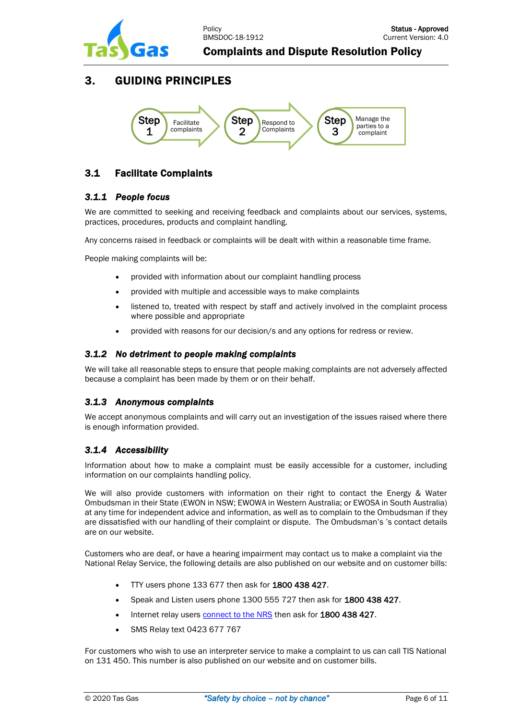

# <span id="page-5-0"></span>3. GUIDING PRINCIPLES



# <span id="page-5-1"></span>3.1 Facilitate Complaints

# <span id="page-5-2"></span>*3.1.1 People focus*

We are committed to seeking and receiving feedback and complaints about our services, systems, practices, procedures, products and complaint handling.

Any concerns raised in feedback or complaints will be dealt with within a reasonable time frame.

People making complaints will be:

- provided with information about our complaint handling process
- provided with multiple and accessible ways to make complaints
- listened to, treated with respect by staff and actively involved in the complaint process where possible and appropriate
- provided with reasons for our decision/s and any options for redress or review.

#### <span id="page-5-3"></span>*3.1.2 No detriment to people making complaints*

We will take all reasonable steps to ensure that people making complaints are not adversely affected because a complaint has been made by them or on their behalf.

# <span id="page-5-4"></span>*3.1.3 Anonymous complaints*

We accept anonymous complaints and will carry out an investigation of the issues raised where there is enough information provided.

# <span id="page-5-5"></span>*3.1.4 Accessibility*

Information about how to make a complaint must be easily accessible for a customer, including information on our complaints handling policy.

We will also provide customers with information on their right to contact the Energy & Water Ombudsman in their State (EWON in NSW; EWOWA in Western Australia; or EWOSA in South Australia) at any time for independent advice and information, as well as to complain to the Ombudsman if they are dissatisfied with our handling of their complaint or dispute. The Ombudsman's 's contact details are on our website.

Customers who are deaf, or have a hearing impairment may contact us to make a complaint via the National Relay Service, the following details are also published on our website and on customer bills:

- TTY users phone 133 677 then ask for 1800 438 427.
- Speak and Listen users phone 1300 555 727 then ask for 1800 438 427.
- Internet relay users [connect to the NRS](http://www.relayservice.gov.au/) then ask for 1800 438 427.
- SMS Relay text 0423 677 767

For customers who wish to use an interpreter service to make a complaint to us can call TIS National on 131 450. This number is also published on our website and on customer bills.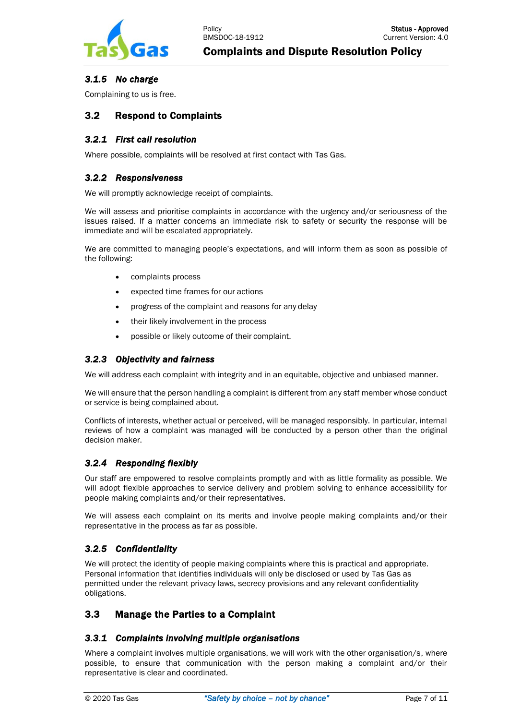

# <span id="page-6-0"></span>*3.1.5 No charge*

Complaining to us is free.

# <span id="page-6-1"></span>3.2 Respond to Complaints

# <span id="page-6-2"></span>*3.2.1 First call resolution*

Where possible, complaints will be resolved at first contact with Tas Gas.

#### <span id="page-6-3"></span>*3.2.2 Responsiveness*

We will promptly acknowledge receipt of complaints.

We will assess and prioritise complaints in accordance with the urgency and/or seriousness of the issues raised. If a matter concerns an immediate risk to safety or security the response will be immediate and will be escalated appropriately.

We are committed to managing people's expectations, and will inform them as soon as possible of the following:

- complaints process
- expected time frames for our actions
- progress of the complaint and reasons for any delay
- their likely involvement in the process
- possible or likely outcome of their complaint.

#### <span id="page-6-4"></span>*3.2.3 Objectivity and fairness*

We will address each complaint with integrity and in an equitable, objective and unbiased manner.

We will ensure that the person handling a complaint is different from any staff member whose conduct or service is being complained about.

Conflicts of interests, whether actual or perceived, will be managed responsibly. In particular, internal reviews of how a complaint was managed will be conducted by a person other than the original decision maker.

# <span id="page-6-5"></span>*3.2.4 Responding flexibly*

Our staff are empowered to resolve complaints promptly and with as little formality as possible. We will adopt flexible approaches to service delivery and problem solving to enhance accessibility for people making complaints and/or their representatives.

We will assess each complaint on its merits and involve people making complaints and/or their representative in the process as far as possible.

# <span id="page-6-6"></span>*3.2.5 Confidentiality*

We will protect the identity of people making complaints where this is practical and appropriate. Personal information that identifies individuals will only be disclosed or used by Tas Gas as permitted under the relevant privacy laws, secrecy provisions and any relevant confidentiality obligations.

# <span id="page-6-7"></span>3.3 Manage the Parties to a Complaint

# <span id="page-6-8"></span>*3.3.1 Complaints involving multiple organisations*

Where a complaint involves multiple organisations, we will work with the other organisation/s, where possible, to ensure that communication with the person making a complaint and/or their representative is clear and coordinated.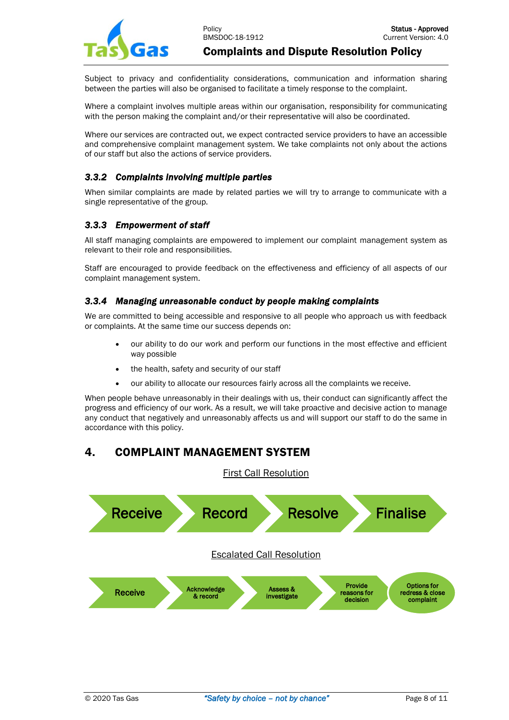

Subject to privacy and confidentiality considerations, communication and information sharing between the parties will also be organised to facilitate a timely response to the complaint.

Where a complaint involves multiple areas within our organisation, responsibility for communicating with the person making the complaint and/or their representative will also be coordinated.

Where our services are contracted out, we expect contracted service providers to have an accessible and comprehensive complaint management system. We take complaints not only about the actions of our staff but also the actions of service providers.

# <span id="page-7-0"></span>*3.3.2 Complaints involving multiple parties*

When similar complaints are made by related parties we will try to arrange to communicate with a single representative of the group.

# <span id="page-7-1"></span>*3.3.3 Empowerment of staff*

All staff managing complaints are empowered to implement our complaint management system as relevant to their role and responsibilities.

Staff are encouraged to provide feedback on the effectiveness and efficiency of all aspects of our complaint management system.

#### <span id="page-7-2"></span>*3.3.4 Managing unreasonable conduct by people making complaints*

We are committed to being accessible and responsive to all people who approach us with feedback or complaints. At the same time our success depends on:

- our ability to do our work and perform our functions in the most effective and efficient way possible
- the health, safety and security of our staff
- our ability to allocate our resources fairly across all the complaints we receive.

When people behave unreasonably in their dealings with us, their conduct can significantly affect the progress and efficiency of our work. As a result, we will take proactive and decisive action to manage any conduct that negatively and unreasonably affects us and will support our staff to do the same in accordance with this policy.

# <span id="page-7-3"></span>4. COMPLAINT MANAGEMENT SYSTEM



First Call Resolution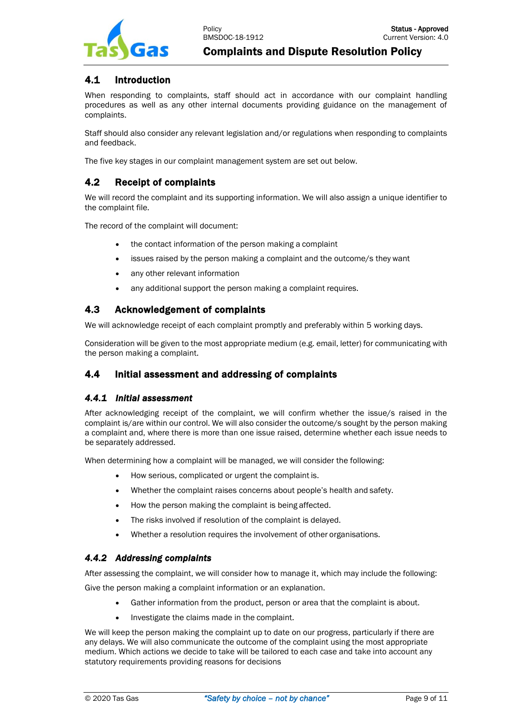

# <span id="page-8-0"></span>4.1 Introduction

When responding to complaints, staff should act in accordance with our complaint handling procedures as well as any other internal documents providing guidance on the management of complaints.

Staff should also consider any relevant legislation and/or regulations when responding to complaints and feedback.

The five key stages in our complaint management system are set out below.

# <span id="page-8-1"></span>4.2 Receipt of complaints

We will record the complaint and its supporting information. We will also assign a unique identifier to the complaint file.

The record of the complaint will document:

- the contact information of the person making a complaint
- issues raised by the person making a complaint and the outcome/s they want
- any other relevant information
- any additional support the person making a complaint requires.

# <span id="page-8-2"></span>4.3 Acknowledgement of complaints

We will acknowledge receipt of each complaint promptly and preferably within 5 working days.

Consideration will be given to the most appropriate medium (e.g. email, letter) for communicating with the person making a complaint.

# <span id="page-8-3"></span>4.4 Initial assessment and addressing of complaints

#### <span id="page-8-4"></span>*4.4.1 Initial assessment*

After acknowledging receipt of the complaint, we will confirm whether the issue/s raised in the complaint is/are within our control. We will also consider the outcome/s sought by the person making a complaint and, where there is more than one issue raised, determine whether each issue needs to be separately addressed.

When determining how a complaint will be managed, we will consider the following:

- How serious, complicated or urgent the complaint is.
- Whether the complaint raises concerns about people's health and safety.
- How the person making the complaint is being affected.
- The risks involved if resolution of the complaint is delayed.
- Whether a resolution requires the involvement of other organisations.

# <span id="page-8-5"></span>*4.4.2 Addressing complaints*

After assessing the complaint, we will consider how to manage it, which may include the following:

Give the person making a complaint information or an explanation.

- Gather information from the product, person or area that the complaint is about.
- Investigate the claims made in the complaint.

We will keep the person making the complaint up to date on our progress, particularly if there are any delays. We will also communicate the outcome of the complaint using the most appropriate medium. Which actions we decide to take will be tailored to each case and take into account any statutory requirements providing reasons for decisions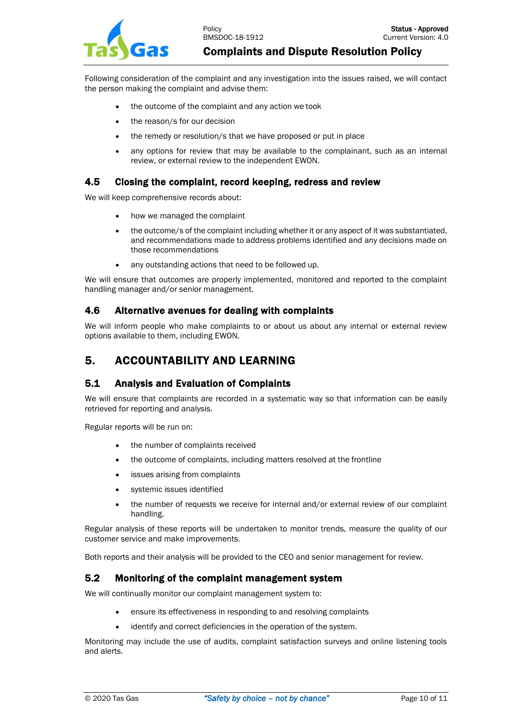Following consideration of the complaint and any investigation into the issues raised, we will contact the person making the complaint and advise them:

- the outcome of the complaint and any action we took
- the reason/s for our decision
- the remedy or resolution/s that we have proposed or put in place
- any options for review that may be available to the complainant, such as an internal review, or external review to the independent EWON.

#### <span id="page-9-0"></span>4.5 Closing the complaint, record keeping, redress and review

We will keep comprehensive records about:

- how we managed the complaint
- the outcome/s of the complaint including whether it or any aspect of it was substantiated, and recommendations made to address problems identified and any decisions made on those recommendations
- any outstanding actions that need to be followed up.

We will ensure that outcomes are properly implemented, monitored and reported to the complaint handling manager and/or senior management.

#### <span id="page-9-1"></span>4.6 Alternative avenues for dealing with complaints

We will inform people who make complaints to or about us about any internal or external review options available to them, including EWON.

# <span id="page-9-2"></span>5. ACCOUNTABILITY AND LEARNING

# <span id="page-9-3"></span>5.1 Analysis and Evaluation of Complaints

We will ensure that complaints are recorded in a systematic way so that information can be easily retrieved for reporting and analysis.

Regular reports will be run on:

- the number of complaints received
- the outcome of complaints, including matters resolved at the frontline
- issues arising from complaints
- systemic issues identified
- the number of requests we receive for internal and/or external review of our complaint handling.

Regular analysis of these reports will be undertaken to monitor trends, measure the quality of our customer service and make improvements.

Both reports and their analysis will be provided to the CEO and senior management for review.

# <span id="page-9-4"></span>5.2 Monitoring of the complaint management system

We will continually monitor our complaint management system to:

- ensure its effectiveness in responding to and resolving complaints
- identify and correct deficiencies in the operation of the system.

Monitoring may include the use of audits, complaint satisfaction surveys and online listening tools and alerts.